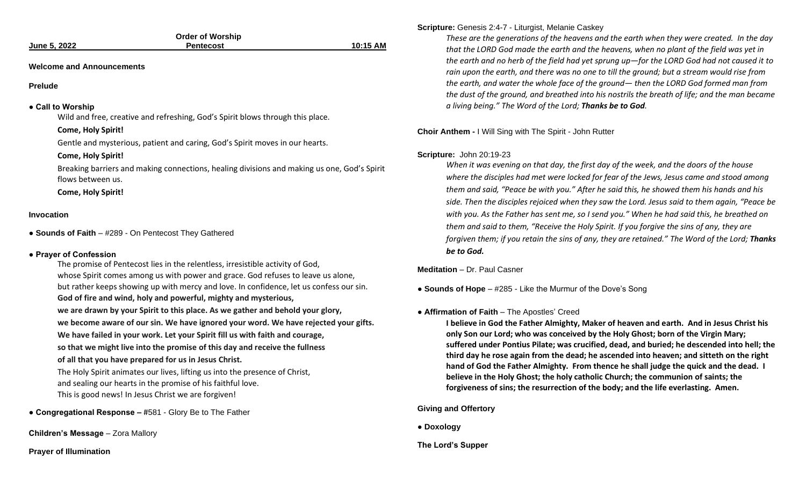|                     | <b>Order of Worship</b> |          |
|---------------------|-------------------------|----------|
| <b>June 5, 2022</b> | <b>Pentecost</b>        | 10:15 AM |
|                     |                         |          |
| -----<br>- -        |                         |          |

#### **Welcome and Announcements**

#### **Prelude**

#### **● Call to Worship**

Wild and free, creative and refreshing, God's Spirit blows through this place.

#### **Come, Holy Spirit!**

Gentle and mysterious, patient and caring, God's Spirit moves in our hearts.

#### **Come, Holy Spirit!**

Breaking barriers and making connections, healing divisions and making us one, God's Spirit flows between us.

**Come, Holy Spirit!**

#### **Invocation**

**● Sounds of Faith** – #289 - On Pentecost They Gathered

## **● Prayer of Confession**

The promise of Pentecost lies in the relentless, irresistible activity of God, whose Spirit comes among us with power and grace. God refuses to leave us alone, but rather keeps showing up with mercy and love. In confidence, let us confess our sin. **God of fire and wind, holy and powerful, mighty and mysterious, we are drawn by your Spirit to this place. As we gather and behold your glory, we become aware of our sin. We have ignored your word. We have rejected your gifts. We have failed in your work. Let your Spirit fill us with faith and courage, so that we might live into the promise of this day and receive the fullness of all that you have prepared for us in Jesus Christ.** The Holy Spirit animates our lives, lifting us into the presence of Christ, and sealing our hearts in the promise of his faithful love. This is good news! In Jesus Christ we are forgiven!

**● Congregational Response –** #581 - Glory Be to The Father

**Children's Message** – Zora Mallory

**Prayer of Illumination**

# **Scripture:** Genesis 2:4-7 - Liturgist, Melanie Caskey

*These are the generations of the heavens and the earth when they were created. In the day that the LORD God made the earth and the heavens, when no plant of the field was yet in the earth and no herb of the field had yet sprung up—for the LORD God had not caused it to rain upon the earth, and there was no one to till the ground; but a stream would rise from the earth, and water the whole face of the ground— then the LORD God formed man from the dust of the ground, and breathed into his nostrils the breath of life; and the man became a living being." The Word of the Lord; Thanks be to God.* 

**Choir Anthem -** I Will Sing with The Spirit - John Rutter

#### **Scripture:** John 20:19-23

*When it was evening on that day, the first day of the week, and the doors of the house where the disciples had met were locked for fear of the Jews, Jesus came and stood among them and said, "Peace be with you." After he said this, he showed them his hands and his side. Then the disciples rejoiced when they saw the Lord. Jesus said to them again, "Peace be with you. As the Father has sent me, so I send you." When he had said this, he breathed on them and said to them, "Receive the Holy Spirit. If you forgive the sins of any, they are forgiven them; if you retain the sins of any, they are retained." The Word of the Lord; Thanks be to God.*

**Meditation** – Dr. Paul Casner

**● Sounds of Hope** – #285 - Like the Murmur of the Dove's Song

#### **● Affirmation of Faith** – The Apostles' Creed

**I believe in God the Father Almighty, Maker of heaven and earth. And in Jesus Christ his only Son our Lord; who was conceived by the Holy Ghost; born of the Virgin Mary; suffered under Pontius Pilate; was crucified, dead, and buried; he descended into hell; the third day he rose again from the dead; he ascended into heaven; and sitteth on the right hand of God the Father Almighty. From thence he shall judge the quick and the dead. I believe in the Holy Ghost; the holy catholic Church; the communion of saints; the forgiveness of sins; the resurrection of the body; and the life everlasting. Amen.**

## **Giving and Offertory**

**● Doxology**

**The Lord's Supper**